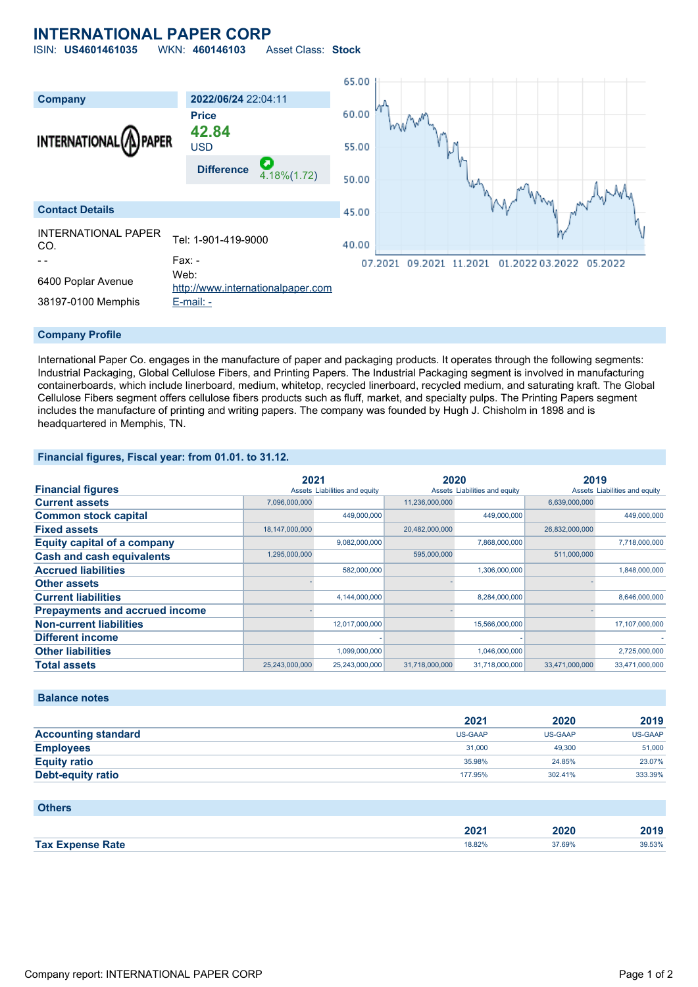# **INTERNATIONAL PAPER CORP**

ISIN: **US4601461035** WKN: **460146103** Asset Class: **Stock**



#### **Company Profile**

International Paper Co. engages in the manufacture of paper and packaging products. It operates through the following segments: Industrial Packaging, Global Cellulose Fibers, and Printing Papers. The Industrial Packaging segment is involved in manufacturing containerboards, which include linerboard, medium, whitetop, recycled linerboard, recycled medium, and saturating kraft. The Global Cellulose Fibers segment offers cellulose fibers products such as fluff, market, and specialty pulps. The Printing Papers segment includes the manufacture of printing and writing papers. The company was founded by Hugh J. Chisholm in 1898 and is headquartered in Memphis, TN.

### **Financial figures, Fiscal year: from 01.01. to 31.12.**

|                                       | 2021           |                               | 2020           |                               | 2019           |                               |
|---------------------------------------|----------------|-------------------------------|----------------|-------------------------------|----------------|-------------------------------|
| <b>Financial figures</b>              |                | Assets Liabilities and equity |                | Assets Liabilities and equity |                | Assets Liabilities and equity |
| <b>Current assets</b>                 | 7,096,000,000  |                               | 11,236,000,000 |                               | 6,639,000,000  |                               |
| <b>Common stock capital</b>           |                | 449.000.000                   |                | 449,000,000                   |                | 449,000,000                   |
| <b>Fixed assets</b>                   | 18,147,000,000 |                               | 20,482,000,000 |                               | 26,832,000,000 |                               |
| <b>Equity capital of a company</b>    |                | 9,082,000,000                 |                | 7,868,000,000                 |                | 7,718,000,000                 |
| <b>Cash and cash equivalents</b>      | 1,295,000,000  |                               | 595,000,000    |                               | 511,000,000    |                               |
| <b>Accrued liabilities</b>            |                | 582,000,000                   |                | 1,306,000,000                 |                | 1,848,000,000                 |
| <b>Other assets</b>                   |                |                               |                |                               |                |                               |
| <b>Current liabilities</b>            |                | 4,144,000,000                 |                | 8,284,000,000                 |                | 8,646,000,000                 |
| <b>Prepayments and accrued income</b> |                |                               |                |                               |                |                               |
| <b>Non-current liabilities</b>        |                | 12,017,000,000                |                | 15,566,000,000                |                | 17,107,000,000                |
| <b>Different income</b>               |                |                               |                |                               |                |                               |
| <b>Other liabilities</b>              |                | 1,099,000,000                 |                | 1,046,000,000                 |                | 2,725,000,000                 |
| <b>Total assets</b>                   | 25,243,000,000 | 25,243,000,000                | 31,718,000,000 | 31,718,000,000                | 33.471.000.000 | 33,471,000,000                |

#### **Balance notes**

|                            | 2021           | 2020           | 2019           |
|----------------------------|----------------|----------------|----------------|
| <b>Accounting standard</b> | <b>US-GAAP</b> | <b>US-GAAP</b> | <b>US-GAAP</b> |
| <b>Employees</b>           | 31,000         | 49,300         | 51,000         |
| <b>Equity ratio</b>        | 35.98%         | 24.85%         | 23.07%         |
| <b>Debt-equity ratio</b>   | 177.95%        | 302.41%        | 333.39%        |

#### **Others**

|                         | ירחר<br>ZUZT.<br>______ | 2020   | 2010<br>20 I J |
|-------------------------|-------------------------|--------|----------------|
| <b>Tax Expense Rate</b> | 8.82%                   | 37.69% | 39.53%         |